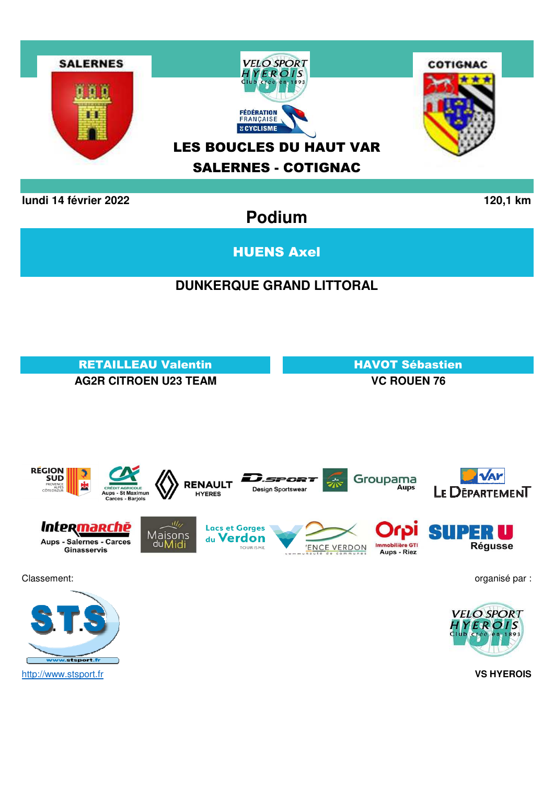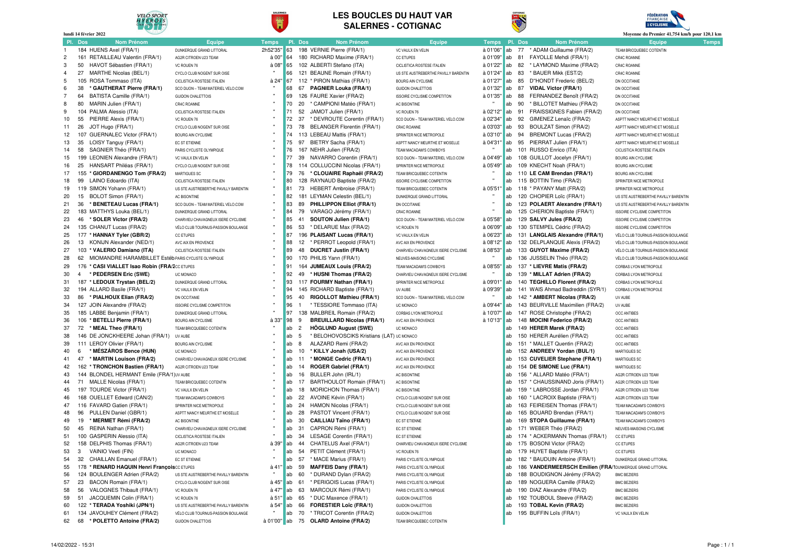

#### **LES BOUCLES DU HAUT VARSALERNES - COTIGNAC**

SALERNES





| Moyenne du Premier 41,754 km/h pour 120,1 km<br>lundi 14 février 2022 |                |                                                            |                                               |              |          |                                                                  |                                      |               |          |    |                                                            |                                                |              |
|-----------------------------------------------------------------------|----------------|------------------------------------------------------------|-----------------------------------------------|--------------|----------|------------------------------------------------------------------|--------------------------------------|---------------|----------|----|------------------------------------------------------------|------------------------------------------------|--------------|
|                                                                       | Pl. Dos        | Nom Prénom                                                 | <b>Equipe</b>                                 | <b>Temps</b> |          | Pl. Dos<br><b>Nom Prénom</b>                                     | Equipe                               | Temps Pl. Dos |          |    | <b>Nom Prénom</b>                                          | <b>Equipe</b>                                  | <b>Temps</b> |
| -1                                                                    |                | 184 HUENS Axel (FRA/1)                                     | DUNKERQUE GRAND LITTORAL                      | 2h52'35"     | 63       | 198 VERNIE Pierre (FRA/1)                                        | VC VAULX EN VELIN                    | à 01'06"      | lab      | 77 | * ADAM Guillaume (FRA/2)                                   | TEAM BRICQUEBEC COTENTIN                       |              |
| $\overline{2}$                                                        |                | 161 RETAILLEAU Valentin (FRA/1)                            | AG2R CITROEN U23 TEAM                         | à 00"        | 64       | 180 RICHARD Maxime (FRA/1)                                       | <b>CC ETUPES</b>                     | à 01'09'      | ab       | 81 | FAYOLLE Mehdi (FRA/1)                                      | CR4C ROANNE                                    |              |
| 3                                                                     |                | 50 HAVOT Sébastien (FRA/1)                                 | VC ROUEN 76                                   | à 08'        | 65       | 102 ALBERTI Stefano (ITA)                                        | CICLISTICA ROSTESE ITALIEN           | à 01'22"      | ab       | 82 | * LAYMOND Maxime (FRA/2)                                   | CR4C ROANNE                                    |              |
| 4                                                                     | 27             | MARTHE Nicolas (BEL/1)                                     | CYCLO CLUB NOGENT SUR OISE                    |              | 66       | 121 BEAUNE Romain (FRA/1)                                        | US STE AUSTREBERTHE PAVILLY BARENTIN | à 01'24"      | ab       | 83 | * BAUER Mikk (EST/2)                                       | CR4C ROANNE                                    |              |
| 5                                                                     |                | 105 ROSA Tommaso (ITA)                                     | CICLISTICA ROSTESE ITALIEN                    | à 24'        | 67       | 112 * PIRON Mathias (FRA/1)                                      | <b>BOURG AIN CYCLISME</b>            | à 01'27"      | lab      | 85 | D"HONDT Frederic (BEL/2)                                   | DN OCCITANIE                                   |              |
| 6                                                                     | 38             | * GAUTHERAT Pierre (FRA/1)                                 | SCO DIJON - TEAM MATERIEL VELO.COM            |              | 68       | <b>PAGNIER Louka (FRA/1)</b><br>67                               | <b>GUIDON CHALETTOIS</b>             | à 01'32"      | ab       | 87 | <b>VIDAL Victor (FRA/1)</b>                                | DN OCCITANIE                                   |              |
|                                                                       | 64             | BATISTA Camille (FRA/1)                                    | <b>GUIDON CHALETTOIS</b>                      |              | 69       | 126 FAURE Xavier (FRA/2)                                         | <b>ISSOIRE CYCLISME COMPETITON</b>   | à 01'35"      | ab       | 88 | FERNANDEZ Benoît (FRA/2)                                   | DN OCCITANIE                                   |              |
| 8                                                                     | 80             | MARIN Julien (FRA/1)                                       | CR4C ROANNE                                   |              | 70       | 20<br>* CAMPIONI Matéo (FRA/1)                                   | AC BISONTINE                         |               | ab       | 90 | * BILLOTET Mathieu (FRA/2)                                 | DN OCCITANIE                                   |              |
| 9                                                                     |                | 104 PALMA Alessio (ITA)                                    | CICLISTICA ROSTESE ITALIEN                    |              | 71       | 52<br>JAMOT Julien (FRA/1)                                       | VC ROUEN 76                          | à 02'12"      | lab      | 91 | FRAISSIGNES Fabien (FRA/2)                                 | DN OCCITANIE                                   |              |
| 10                                                                    | 55             | PIERRE Alexis (FRA/1)                                      | VC ROUEN 76                                   |              | 72       | 37<br>* DEVROUTE Corentin (FRA/1)                                | SCO DIJON - TEAM MATERIEL VELO.COM   | à 02'34'      | ab       | 92 | GIMENEZ Lenaïc (FRA/2)                                     | ASPTT NANCY MEURTHE ET MOSELLE                 |              |
| 11                                                                    | 26             | JOT Hugo (FRA/1)                                           | CYCLO CLUB NOGENT SUR OISE                    |              | 73       | 78<br>BELANGER Florentin (FRA/1)                                 | CR4C ROANNE                          | à 03'03"      | ab       | 93 | BOULZAT Simon (FRA/2)                                      | ASPTT NANCY MEURTHE ET MOSELLE                 |              |
| 12                                                                    |                | 107 GUERNALEC Victor (FRA/1)                               | <b>BOURG AIN CYCLISME</b>                     |              | 74       | 113 LEBEAU Mattis (FRA/1)                                        | SPRINTER NICE METROPOLE              | à 03'10"      | ab       | 94 | <b>BREMONT Lucas (FRA/2)</b>                               | ASPTT NANCY MEURTHE ET MOSELLE                 |              |
| 13                                                                    | 35             | LOISY Tanguy (FRA/1)                                       | EC ST ETIENNE                                 |              | 75       | 97<br>BIETRY Sacha (FRA/1)                                       | ASPTT NANCY MEURTHE ET MOSELLE       | à 04'31       | lab      |    | 95 PIERRAT Julien (FRA/1)                                  | ASPTT NANCY MEURTHE ET MOSELLE                 |              |
| 14                                                                    | 58             | SAGNIER Théo (FRA/1)                                       | PARIS CYCLISTE OLYMPIQUE                      |              | 76       | 167 NEHR Julien (FRA/2)                                          | TEAM MACADAM'S COWBOYS               |               | ab       |    | 101 RUSSO Enrico (ITA)                                     | CICLISTICA ROSTESE ITALIEN                     |              |
| 15                                                                    |                | 199 LEONIEN Alexandre (FRA/1)                              | VC VAULX EN VELIN                             |              | 77       | 39<br>NAVARRO Corentin (FRA/1)                                   | SCO DIJON - TEAM MATERIEL VELO.COM   | à 04'49"      | lab      |    | 108 GUILLOT Jocelyn (FRA/1)                                | <b>BOURG AIN CYCLISME</b>                      |              |
| 16                                                                    | 25             | HANSART Philéas (FRA/1)                                    | CYCLO CLUB NOGENT SUR OISE                    |              | 78       | COLLUCCINI Nicolas (FRA/1)<br>114                                | SPRINTER NICE METROPOLE              | à 05'49"      | ab       |    | 109 KNECHT Noah (FRA/1)                                    | <b>BOURG AIN CYCLISME</b>                      |              |
| 17                                                                    |                | 155 * GIORDANENGO Tom (FRA/2)                              | MARTIGUES SC                                  |              | 79       | 76<br>* CLOUAIRE Raphaël (FRA/2)                                 | TEAM BRICQUEBEC COTENTIN             |               | ab       |    | 110 LE CAM Brendan (FRA/1)                                 | <b>BOURG AIN CYCLISME</b>                      |              |
| 18                                                                    |                | 99 LAINO Edoardo (ITA)                                     | CICLISTICA ROSTESE ITALIEN                    |              | 80       | 128 RAYNAUD Baptiste (FRA/2)                                     | <b>ISSOIRE CYCLISME COMPETITON</b>   |               | ab       |    | 115 BOTTIN Timo (FRA/2)                                    | SPRINTER NICE METROPOLE                        |              |
| 19                                                                    |                | 119 SIMON Yohann (FRA/1)                                   | US STE AUSTREBERTHE PAVILLY BARENTIN          |              | 81       | 73<br>HEBERT Ambroise (FRA/1)                                    | TEAM BRICQUEBEC COTENTIN             | à 05'51       | ab       |    | 118 * PAYANY Matt (FRA/2)                                  | SPRINTER NICE METROPOLE                        |              |
| 20                                                                    | 15             | BOLOT Simon (FRA/1)                                        | AC BISONTINE                                  |              | 82       | 181<br>LEYMAN Celestin (BEL/1)                                   | DUNKERQUE GRAND LITTORAL             |               | ab       |    | 120 CHOPIER Loïc (FRA/1)                                   | US STE AUSTREBERTHE PAVILLY BARENTIN           |              |
| 21                                                                    | 36             | * BENETEAU Lucas (FRA/1)                                   | SCO DIJON - TEAM MATERIEL VELO.COM            |              | 83       | 89<br>PHILLIPPON Elliot (FRA/1)                                  | DN OCCITANIE                         |               | ab       |    | 123 POLAERT Alexandre (FRA/1)                              | US STE AUSTREBERTHE PAVILLY BARENTIN           |              |
| 22                                                                    |                | 183 MATTHYS Louka (BEL/1)                                  | DUNKERQUE GRAND LITTORAL                      |              | 84       | 79<br>VARAGO Jérémy (FRA/1)                                      | CR4C ROANNE                          |               | ab       |    | 125 CHERION Baptiste (FRA/1)                               | <b>ISSOIRE CYCLISME COMPETITON</b>             |              |
| 23                                                                    |                | 46 * SOLER Victor (FRA/2)                                  | CHARVIEU CHAVAGNEUX ISERE CYCLISME            |              | 85       | SOUTON Julien (FRA/1)<br>41                                      | SCO DIJON - TEAM MATERIEL VELO.COM   | à 05'58"      | ab       |    | 129 SALVY Jules (FRA/2)                                    | <b>ISSOIRE CYCLISME COMPETITON</b>             |              |
| 24                                                                    |                | 135 CHANUT Lucas (FRA/2)                                   | VÉLO CLUB TOURNUS-PASSION BOULANGE            |              | 86       | 53<br>* DELARUE Max (FRA/2)                                      | VC ROUEN 76                          | à 06'09'      | ab       |    | 130 STEMPEL Cédric (FRA/2)                                 | <b>ISSOIRE CYCLISME COMPETITON</b>             |              |
| 25                                                                    |                | 177 * HANNAY Tyler (GBR/2)                                 | <b>CC ETUPES</b>                              |              | 87       | 196 PLAISANT Lucas (FRA/1)                                       | VC VAULX EN VELIN                    | à 06'23"      | ab       |    | 131 LANGLAIS Alexandre (FRA/1)                             | VÉLO CLUB TOURNUS-PASSION BOULANGE             |              |
| 26                                                                    |                | 13 KONIJN Alexander (NED/1)                                | AVC AIX EN PROVENCE                           |              | 88       | * PERROT Leopold (FRA/1)<br>12                                   | AVC AIX EN PROVENCE                  | à 08'12"      | ab       |    | 132 DELPLANQUE Alexis (FRA/2)                              | VÉLO CLUB TOURNUS-PASSION BOULANGE             |              |
| 27                                                                    |                | 103 * VALERIO Damiano (ITA)                                | CICLISTICA ROSTESE ITALIEN                    |              | 89       | 48<br><b>DUCRET Justin (FRA/1)</b>                               | CHARVIEU CHAVAGNEUX ISERE CYCLISME   | à 08'53"      | ab       |    | 133 GUYOT Maxime (FRA/2)                                   | VÉLO CLUB TOURNUS-PASSION BOULANGE             |              |
| 28                                                                    | 62             | MIOMANDRE HARAMBILLET Estéb PARIS CYCLISTE OLYMPIQUE       |                                               |              | 90       | 170 PHILIS Yann (FRA/1)                                          | NEUVES-MAISONS CYCLISME              |               | ab       |    | 136 JUSSELIN Théo (FRA/2)                                  | VÉLO CLUB TOURNUS-PASSION BOULANGE             |              |
| 29                                                                    |                | 176 * CASI VIALLET Isao Robin (FRA/2CC ETUPES              |                                               |              | 91       | 164 JUMEAUX Louis (FRA/2)                                        | TEAM MACADAM'S COWBOYS               | à 08'55'      | ab       |    | 137 * LIEVRE Matis (FRA/2)                                 | CORBAS LYON METROPOLE                          |              |
| 30                                                                    | $\overline{4}$ | * PEDERSEN Eric (SWE)                                      | <b>UC MONACO</b>                              |              | 92       | 49<br>* HUSNI Thomas (FRA/2)                                     | CHARVIEU CHAVAGNEUX ISERE CYCLISME   |               | ab       |    | 139 * MILLAT Adrien (FRA/2)                                | CORBAS LYON METROPOLE                          |              |
| 31                                                                    |                | 187 * LEDOUX Trystan (BEL/2)                               | DUNKERQUE GRAND LITTORAL                      |              | 93       | 117 FOURMY Nathan (FRA/1)                                        | SPRINTER NICE METROPOLE              | à 09'01'      | lab      |    | 140 TEGHILLO Florent (FRA/2)                               | CORBAS LYON METROPOLE                          |              |
| 32                                                                    |                | 194 ALLARD Basile (FRA/1)                                  | VC VAULX EN VELIN                             |              | 94       | 145 RICHARD Baptiste (FRA/1)                                     | UV AUBE                              | à 09'39'      | ab       |    | 141 WAIS Ahmad Badreddin (SYR/1)                           | CORBAS LYON METROPOLE                          |              |
| 33                                                                    | 86             | * PIALHOUX Elian (FRA/2)                                   | DN OCCITANIE                                  |              | 95       | 40<br><b>RIGOLLOT Mathieu (FRA/1)</b>                            | SCO DIJON - TEAM MATERIEL VELO.COM   |               | ab       |    | 142 * AMBERT Nicolas (FRA/2)                               | UV AUBE                                        |              |
| 34                                                                    |                | 127 JOIN Alexandre (FRA/2)                                 | <b>ISSOIRE CYCLISME COMPETITON</b>            |              | 96       | * TESSIORE Tommaso (ITA)                                         | <b>UC MONACO</b>                     | à 09'44'      | ab       |    | 143 BEURVILLE Maximilien (FRA/2)                           | UV AUBE                                        |              |
| 35                                                                    |                | 185 LABBE Benjamin (FRA/1)                                 | DUNKERQUE GRAND LITTORAL                      |              | 97       | 138 MALBREIL Romain (FRA/2)                                      | CORBAS LYON METROPOLE                | à 10'07'      | ab       |    | 147 ROSE Christophe (FRA/2)                                | <b>OCC ANTIBES</b>                             |              |
| 36                                                                    |                | 106 * BETELLI Pierre (FRA/1)                               | <b>BOURG AIN CYCLISME</b>                     | à 33"        | 98       | 9<br><b>BREUILLARD Nicolas (FRA/1)</b>                           | AVC AIX EN PROVENCE                  | à 10'13"      | lab      |    | 148 MOCINI Federico (FRA/2)                                | <b>OCC ANTIBES</b>                             |              |
| 37                                                                    |                | 72 * MEAL Theo (FRA/1)                                     | TEAM BRICQUEBEC COTENTIN                      |              | ab       | $\overline{2}$<br><b>HÖGLUND August (SWE)</b>                    | UC MONACO                            |               | ab       |    | 149 HERER Marek (FRA/2)                                    | <b>OCC ANTIBES</b>                             |              |
| 38                                                                    |                | 146 DE JONCKHEERE Johan (FRA/1)                            | UV AUBE                                       |              | ab       | * BELOHOVOSCIKS Kristians (LAT) UC MONACO<br>-5                  |                                      |               | ab       |    | 150 HERER Aurélien (FRA/2)                                 | <b>OCC ANTIBES</b>                             |              |
| 39                                                                    |                | 111 LEROY Olivier (FRA/1)                                  | <b>BOURG AIN CYCLISME</b>                     |              | ab       | ALAZARD Remi (FRA/2)<br>-8                                       | AVC AIX EN PROVENCE                  |               | ab       |    | 151 * MALLET Quentin (FRA/2)                               | <b>OCC ANTIBES</b>                             |              |
| 40                                                                    | 6              | * MÉSZÁROS Bence (HUN)                                     | <b>UC MONACO</b>                              |              | ab       | 10<br>* KILLY Jonah (USA/2)                                      | AVC AIX EN PROVENCE                  |               | ab       |    | 152 ANDREEV Yordan (BUL/1)                                 | MARTIGUES SC                                   |              |
| 41<br>42                                                              | 47             | * MARTIN Louison (FRA/2)<br>162 * TRONCHON Bastien (FRA/1) | CHARVIEU CHAVAGNEUX ISERE CYCLISME            |              | ab<br>ab | MONGE Cedric (FRA/1)<br>11<br><b>ROGER Gabriel (FRA/1)</b><br>14 | AVC AIX EN PROVENCE                  |               | ab<br>ab |    | 153 CUVELIER Stephane (FRA/1)<br>154 DE SIMONE Luc (FRA/1) | MARTIGUES SC                                   |              |
| 43                                                                    |                | 144 BLONDEL HERMANT Emile (FRA/1 UV AUBE                   | AG2R CITROEN U23 TEAM                         |              | ab       | 16<br>BULLER John (IRL/1)                                        | AVC AIX EN PROVENCE                  |               | ab       |    | 156 * ALLARD Matéo (FRA/1)                                 | MARTIGUES SC                                   |              |
| 44                                                                    |                | 71 MALLE Nicolas (FRA/1)                                   |                                               |              | ab       | 17<br>BARTHOULOT Romain (FRA/1)                                  | <b>AC BISONTINE</b>                  |               | ab       |    | 157 * CHAUSSINAND Joris (FRA/1)                            | AG2R CITROEN U23 TEAM                          |              |
| 45                                                                    |                | 197 TOURDE Victor (FRA/1)                                  | TEAM BRICQUEBEC COTENTIN<br>VC VAULX EN VELIN |              | ab       | MORICHON Thomas (FRA/1)<br>18                                    | AC BISONTINE<br>AC BISONTINE         |               | ab       |    | 159 * LABROSSE Jordan (FRA/1)                              | AG2R CITROEN U23 TEAM<br>AG2R CITROEN U23 TEAM |              |
| 46                                                                    |                | 168 OUELLET Edward (CAN/2)                                 | TEAM MACADAM'S COWBOYS                        |              | ab       | 22<br>AVOINE Kévin (FRA/1)                                       | CYCLO CLUB NOGENT SUR OISE           |               | ab       |    | 160 * LACROIX Baptiste (FRA/1)                             | AG2R CITROEN U23 TEAM                          |              |
| 47                                                                    |                | 116 FAVARD Gatien (FRA/1)                                  | SPRINTER NICE METROPOLE                       |              | ab       | HAMON Nicolas (FRA/1)<br>24                                      | CYCLO CLUB NOGENT SUR OISE           |               | ab       |    | 163 FEIREISEN Thomas (FRA/1)                               | TEAM MACADAM'S COWBOYS                         |              |
| 48                                                                    | 96             | PULLEN Daniel (GBR/1)                                      | ASPTT NANCY MEURTHE ET MOSELLE                |              | ab       | 28<br>PASTOT Vincent (FRA/1)                                     | CYCLO CLUB NOGENT SUR OISE           |               | ab       |    | 165 BOUARD Brendan (FRA/1)                                 | TEAM MACADAM'S COWBOYS                         |              |
| 49                                                                    | 19             | * MERMET Rémi (FRA/2)                                      | <b>AC BISONTINE</b>                           |              | ab       | 30<br><b>CAILLIAU Taïno (FRA/1)</b>                              | EC ST ETIENNE                        |               | ab       |    | 169 STOPA Guillaume (FRA/1)                                | TEAM MACADAM'S COWBOYS                         |              |
| 50                                                                    |                | 45 REINA Nathan (FRA/1)                                    | CHARVIEU CHAVAGNEUX ISERE CYCLISME            |              | ab       | CAPRON Rémi (FRA/1)<br>31                                        | EC ST ETIENNE                        |               | ab       |    | 171 WEBER Théo (FRA/2)                                     | NEUVES-MAISONS CYCLISME                        |              |
| 51                                                                    |                | 100 GASPERIN Alessio (ITA)                                 | CICLISTICA ROSTESE ITALIEN                    |              | ab       | LESAGE Corentin (FRA/1)<br>34                                    | EC ST ETIENNE                        |               | ab       |    | 174 * ACKERMANN Thomas (FRA/1)                             | <b>CC ETUPES</b>                               |              |
| 52                                                                    |                | 158 DELPHIS Thomas (FRA/1)                                 | AG2R CITROEN U23 TEAM                         | à 39"        | ab       | CHATELUS Axel (FRA/1)<br>44                                      | CHARVIEU CHAVAGNEUX ISERE CYCLISME   |               | ab       |    | 175 BOSONI Victor (FRA/2)                                  | <b>CC ETUPES</b>                               |              |
| 53                                                                    | 3              | VAINIO Veeti (FIN)                                         | UC MONACO                                     |              | ab       | 54 PETIT Clément (FRA/1)                                         | VC ROUEN 76                          |               | ab       |    | 179 HUYET Baptiste (FRA/1)                                 | <b>CC ETUPES</b>                               |              |
| 54                                                                    | 32             | CHAILLAN Emanuel (FRA/1)                                   | EC ST ETIENNE                                 |              | ab       | 57<br>* MACE Marius (FRA/1)                                      | PARIS CYCLISTE OLYMPIQUE             |               | ab       |    | 182 * BAUDUIN Antoine (FRA/1)                              | DUNKERQUE GRAND LITTORAL                       |              |
| 55                                                                    |                | 178 * RENARD HAQUIN Henri François CC ETUPES               |                                               | à 41'        | ab       | 59<br><b>MAFFEIS Dany (FRA/1)</b>                                | PARIS CYCLISTE OLYMPIQUE             |               | ab       |    | 186 VANDERMEERSCH Emilien (FRA/1DUNKERQUE GRAND LITTORAL   |                                                |              |
| 56                                                                    |                | 124 BOULENGER Adrien (FRA/2)                               | US STE AUSTREBERTHE PAVILLY BARENTIN          |              | ab       | * DURAND Dylan (FRA/2)<br>60                                     | PARIS CYCLISTE OLYMPIQUE             |               | ab       |    | 188 BOUDIGNON Jérémy (FRA/2)                               | <b>BMC BEZIERS</b>                             |              |
| 57                                                                    |                | 23 BACON Romain (FRA/1)                                    | CYCLO CLUB NOGENT SUR OISE                    | à 45"        | ab       | * PERIGOIS Lucas (FRA/1)<br>61                                   | PARIS CYCLISTE OLYMPIQUE             |               | ab       |    | 189 NOGUERA Camille (FRA/2)                                | <b>BMC BEZIERS</b>                             |              |
| 58                                                                    |                | 56 VALOGNES Thibault (FRA/1)                               | VC ROUEN 76                                   | à 47"        | ab       | 63<br>MARCOUX Rémi (FRA/1)                                       | PARIS CYCLISTE OLYMPIQUE             |               | ab       |    | 190 DIAZ Alexandre (FRA/2)                                 | <b>BMC BEZIERS</b>                             |              |
| 59                                                                    | 51             | JACQUEMIN Colin (FRA/1)                                    | VC ROUEN 76                                   | à 51"        | ab       | 65<br>* DUC Maxence (FRA/1)                                      | <b>GUIDON CHALETTOIS</b>             |               | ab       |    | 192 TOUBOUL Steeve (FRA/2)                                 | <b>BMC BEZIERS</b>                             |              |
| 60                                                                    |                | 122 * TERADA Yoshiki (JPN/1)                               | US STE AUSTREBERTHE PAVILLY BARENTIN          | à 54"        | ab       | <b>FORESTIER Loïc (FRA/1)</b><br>66                              | <b>GUIDON CHALETTOIS</b>             |               | ab       |    | 193 TOBAL Kevin (FRA/2)                                    | <b>BMC BEZIERS</b>                             |              |
| 61                                                                    |                | 134 JAVOUHEY Clément (FRA/2)                               | VÉLO CLUB TOURNUS-PASSION BOULANGE            |              | ab       | 70<br>* TRICOT Corentin (FRA/2)                                  | <b>GUIDON CHALETTOIS</b>             |               | ab       |    | 195 BUFFIN Loïs (FRA/1)                                    | VC VAULX EN VELIN                              |              |
| 62                                                                    |                | 68 * POLETTO Antoine (FRA/2)                               | <b>GUIDON CHALETTOIS</b>                      | à 01'00" ab  |          | 75 OLARD Antoine (FRA/2)                                         | TEAM BRICQUEBEC COTENTIN             |               |          |    |                                                            |                                                |              |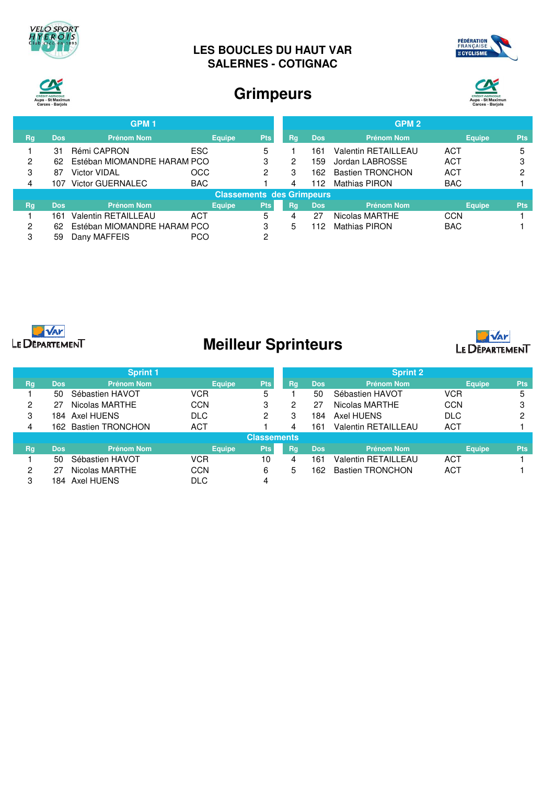

## **LES BOUCLES DU HAUT VAR SALERNES - COTIGNAC**





## **Grimpeurs**



|    |            | <b>GPM1</b>                 |            |                                  |            |    |            | GPM <sub>2</sub>           |               |            |
|----|------------|-----------------------------|------------|----------------------------------|------------|----|------------|----------------------------|---------------|------------|
| Rg | <b>Dos</b> | <b>Prénom Nom</b>           |            | <b>Equipe</b>                    | <b>Pts</b> | Rg | <b>Dos</b> | <b>Prénom Nom</b>          | <b>Equipe</b> | <b>Pts</b> |
|    | 31         | Rémi CAPRON                 | ESC        |                                  | 5          |    | 161        | <b>Valentin RETAILLEAU</b> | ACT           | 5          |
| 2  | 62         | Estéban MIOMANDRE HARAM PCO |            |                                  | 3          | 2  | 159        | Jordan LABROSSE            | ACT           | 3          |
| 3  | 87         | Victor VIDAL                | <b>OCC</b> |                                  | 2          | 3  | 162        | <b>Bastien TRONCHON</b>    | ACT           | ◠          |
| 4  | 107        | <b>Victor GUERNALEC</b>     | <b>BAC</b> |                                  |            | 4  | 112        | <b>Mathias PIRON</b>       | <b>BAC</b>    |            |
|    |            |                             |            | <b>Classements des Grimpeurs</b> |            |    |            |                            |               |            |
| Rg | <b>Dos</b> | <b>Prénom Nom</b>           |            | <b>Equipe</b>                    | <b>Pts</b> | Rq | <b>Dos</b> | <b>Prénom Nom</b>          | <b>Equipe</b> | <b>Pts</b> |
|    | 161        | <b>Valentin RETAILLEAU</b>  | ACT        |                                  | 5          | 4  | 27         | Nicolas MARTHE             | <b>CCN</b>    |            |
| 2  | 62         | Estéban MIOMANDRE HARAM PCO |            |                                  | 3          | 5  | 112        | <b>Mathias PIRON</b>       | <b>BAC</b>    |            |
| 3  | 59         | Dany MAFFEIS                | <b>PCO</b> |                                  | 2          |    |            |                            |               |            |



# **Meilleur Sprinteurs**



|    |                    | <b>Sprint 1</b>         |               |      |    |            | <b>Sprint 2</b>            |               |            |
|----|--------------------|-------------------------|---------------|------|----|------------|----------------------------|---------------|------------|
| Rg | <b>Dos</b>         | <b>Prénom Nom</b>       | <b>Equipe</b> | Pts: | Rg | <b>Dos</b> | <b>Prénom Nom</b>          | <b>Equipe</b> | <b>Pts</b> |
|    | 50                 | Sébastien HAVOT         | <b>VCR</b>    | 5    |    | 50         | Sébastien HAVOT            | <b>VCR</b>    | 5          |
| 2  | 27                 | Nicolas MARTHE          | <b>CCN</b>    | 3    | 2  | 27         | Nicolas MARTHE             | <b>CCN</b>    | ≏          |
| 3  | 184                | Axel HUENS              | <b>DLC</b>    | 2    | 3  | 184        | Axel HUENS                 | <b>DLC</b>    | ∩          |
| 4  | 162.               | <b>Bastien TRONCHON</b> | ACT           |      | 4  | 161        | <b>Valentin RETAILLEAU</b> | <b>ACT</b>    |            |
|    | <b>Classements</b> |                         |               |      |    |            |                            |               |            |
| Rg | <b>Dos</b>         | <b>Prénom Nom</b>       | <b>Equipe</b> | Pts: | Rg | <b>Dos</b> | <b>Prénom Nom</b>          | <b>Equipe</b> | <b>Pts</b> |
|    | 50                 | Sébastien HAVOT         | VCR           | 10   | 4  | 161        | Valentin RETAILLEAU        | ACT           |            |
| 2  | 27                 | Nicolas MARTHE          | CCN           | 6    | 5  | 162        | <b>Bastien TRONCHON</b>    | <b>ACT</b>    |            |
| 3  | 184.               | Axel HUENS              | <b>DLC</b>    | 4    |    |            |                            |               |            |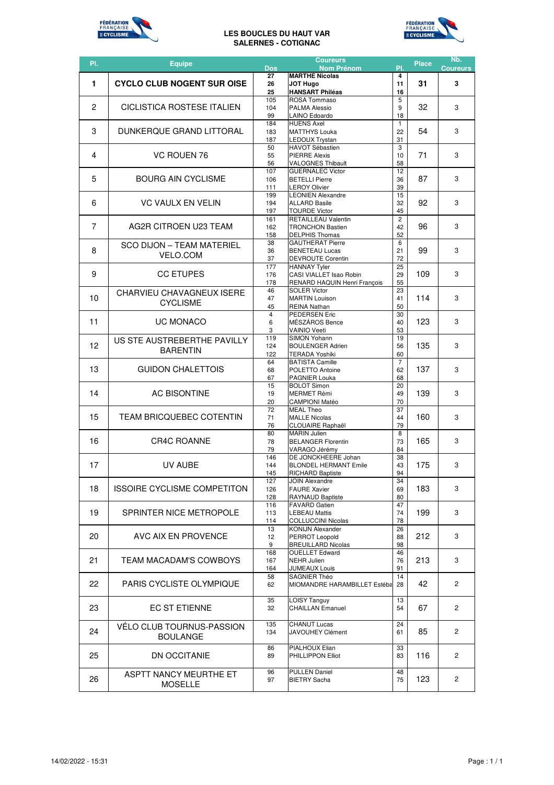

### **LES BOUCLES DU HAUT VAR SALERNES - COTIGNAC**



| <b>MARTHE Nicolas</b><br>27<br>4<br><b>CYCLO CLUB NOGENT SUR OISE</b><br>1<br>31<br><b>JOT Hugo</b><br>11<br>3<br>26<br><b>HANSART Philéas</b><br>16<br>25<br>5<br>105<br>ROSA Tommaso<br>$\overline{c}$<br>CICLISTICA ROSTESE ITALIEN<br>32<br>9<br>3<br>104<br><b>PALMA Alessio</b><br>LAINO Edoardo<br>18<br>99<br>184<br><b>HUENS Axel</b><br>$\mathbf{1}$<br>3<br>DUNKERQUE GRAND LITTORAL<br>54<br>3<br><b>MATTHYS Louka</b><br>183<br>22<br>187<br><b>LEDOUX Trystan</b><br>31<br>3<br><b>HAVOT Sébastien</b><br>50<br>71<br>4<br>VC ROUEN 76<br>3<br>55<br><b>PIERRE Alexis</b><br>10<br>58<br>56<br><b>VALOGNES Thibault</b><br><b>GUERNALEC Victor</b><br>12<br>107<br>5<br>87<br>3<br><b>BOURG AIN CYCLISME</b><br>106<br><b>BETELLI Pierre</b><br>36<br>39<br>111<br><b>LEROY Olivier</b><br><b>LEONIEN Alexandre</b><br>199<br>15<br>3<br>6<br><b>VC VAULX EN VELIN</b><br>92<br>32<br>194<br><b>ALLARD Basile</b><br><b>TOURDE Victor</b><br>45<br>197<br><b>RETAILLEAU Valentin</b><br>$\overline{2}$<br>161<br>7<br>AG2R CITROEN U23 TEAM<br>96<br>3<br>42<br>162<br><b>TRONCHON Bastien</b><br>52<br>158<br><b>DELPHIS Thomas</b><br><b>GAUTHERAT Pierre</b><br>6<br>38<br>SCO DIJON – TEAM MATERIEL<br>8<br>99<br>3<br>36<br><b>BENETEAU Lucas</b><br>21<br><b>VELO.COM</b><br>72<br>37<br><b>DEVROUTE Corentin</b><br><b>HANNAY Tyler</b><br>25<br>177<br>9<br><b>CC ETUPES</b><br>109<br>3<br>CASI VIALLET Isao Robin<br>29<br>176<br>55<br>178<br>RENARD HAQUIN Henri François<br><b>SOLER Victor</b><br>46<br>23<br>CHARVIEU CHAVAGNEUX ISERE<br>10<br>114<br>3<br>41<br>47<br><b>MARTIN Louison</b><br><b>CYCLISME</b><br>45<br>REINA Nathan<br>50<br><b>PEDERSEN Eric</b><br>$\overline{4}$<br>30<br>11<br><b>UC MONACO</b><br>123<br>3<br>MÉSZÁROS Bence<br>6<br>40<br>3<br>53<br><b>VAINIO Veeti</b><br>SIMON Yohann<br>119<br>19<br>US STE AUSTREBERTHE PAVILLY<br>$12 \overline{ }$<br>135<br>3<br>124<br><b>BOULENGER Adrien</b><br>56<br><b>BARENTIN</b><br>60<br>122<br><b>TERADA Yoshiki</b><br><b>BATISTA Camille</b><br>$\overline{7}$<br>64<br>13<br><b>GUIDON CHALETTOIS</b><br>137<br>3<br>POLETTO Antoine<br>62<br>68<br>PAGNIER Louka<br>68<br>67<br>15<br><b>BOLOT Simon</b><br>20<br>14<br><b>AC BISONTINE</b><br>139<br>3<br>49<br>19<br><b>MERMET Rémi</b><br>70<br>20<br><b>CAMPIONI Matéo</b><br>72<br><b>MEAL Theo</b><br>37<br>15<br><b>TEAM BRICQUEBEC COTENTIN</b><br>160<br>3<br><b>MALLE Nicolas</b><br>71<br>44<br>79<br>76<br><b>CLOUAIRE Raphaël</b><br>8<br><b>MARIN Julien</b><br>80<br>16<br><b>CR4C ROANNE</b><br>165<br>3<br>78<br><b>BELANGER Florentin</b><br>73<br>84<br>VARAGO Jérémy<br>79<br>DE JONCKHEERE Johan<br>146<br>38<br>17<br>175<br>3<br>UV AUBE<br>43<br><b>BLONDEL HERMANT Emile</b><br>144<br><b>RICHARD Baptiste</b><br>94<br>145<br>127<br><b>JOIN Alexandre</b><br>34<br>18<br><b>ISSOIRE CYCLISME COMPETITON</b><br>183<br>3<br>126<br><b>FAURE Xavier</b><br>69<br>80<br>128<br>RAYNAUD Baptiste<br>47<br><b>FAVARD Gatien</b><br>116<br>19<br>SPRINTER NICE METROPOLE<br>199<br>3<br><b>LEBEAU Mattis</b><br>74<br>113<br>78<br><b>COLLUCCINI Nicolas</b><br>114<br><b>KONIJN Alexander</b><br>13<br>26<br>20<br>212<br>AVC AIX EN PROVENCE<br>3<br>12<br>PERROT Leopold<br>88<br><b>BREUILLARD Nicolas</b><br>98<br>9<br><b>OUELLET Edward</b><br>46<br>168<br>21<br>213<br>TEAM MACADAM'S COWBOYS<br>3<br>167<br><b>NEHR Julien</b><br>76<br><b>JUMEAUX Louis</b><br>164<br>91<br>SAGNIER Théo<br>14<br>58<br>22<br>PARIS CYCLISTE OLYMPIQUE<br>$\overline{2}$<br>42<br>62<br>MIOMANDRE HARAMBILLET Estéba<br>28<br>35<br><b>LOISY Tanguy</b><br>13<br>23<br><b>EC ST ETIENNE</b><br>$\overline{2}$<br>67<br>32<br><b>CHAILLAN Emanuel</b><br>54<br><b>CHANUT Lucas</b><br>24<br>135<br>VELO CLUB TOURNUS-PASSION<br>24<br>85<br>$\overline{2}$<br>134<br><b>JAVOUHEY Clément</b><br>61<br><b>BOULANGE</b><br>PIALHOUX Elian<br>33<br>86<br>25<br>DN OCCITANIE<br>116<br>$\overline{2}$<br>89<br>PHILLIPPON Elliot<br>83<br>96<br><b>PULLEN Daniel</b><br>48<br>ASPTT NANCY MEURTHE ET<br>26<br>123<br>$\overline{2}$<br>75<br>97<br><b>BIETRY Sacha</b> | PI. | <b>Equipe</b>  | Dos | <b>Coureurs</b><br><b>Nom Prénom</b> | PI. | <b>Place</b> | Nb.<br><b>Coureurs</b> |
|------------------------------------------------------------------------------------------------------------------------------------------------------------------------------------------------------------------------------------------------------------------------------------------------------------------------------------------------------------------------------------------------------------------------------------------------------------------------------------------------------------------------------------------------------------------------------------------------------------------------------------------------------------------------------------------------------------------------------------------------------------------------------------------------------------------------------------------------------------------------------------------------------------------------------------------------------------------------------------------------------------------------------------------------------------------------------------------------------------------------------------------------------------------------------------------------------------------------------------------------------------------------------------------------------------------------------------------------------------------------------------------------------------------------------------------------------------------------------------------------------------------------------------------------------------------------------------------------------------------------------------------------------------------------------------------------------------------------------------------------------------------------------------------------------------------------------------------------------------------------------------------------------------------------------------------------------------------------------------------------------------------------------------------------------------------------------------------------------------------------------------------------------------------------------------------------------------------------------------------------------------------------------------------------------------------------------------------------------------------------------------------------------------------------------------------------------------------------------------------------------------------------------------------------------------------------------------------------------------------------------------------------------------------------------------------------------------------------------------------------------------------------------------------------------------------------------------------------------------------------------------------------------------------------------------------------------------------------------------------------------------------------------------------------------------------------------------------------------------------------------------------------------------------------------------------------------------------------------------------------------------------------------------------------------------------------------------------------------------------------------------------------------------------------------------------------------------------------------------------------------------------------------------------------------------------------------------------------------------------------------------------------------------------------------------------------------------------------------------------------------------------------------------------------------------------------------------------------------------------------------------------------------------------------------------------------------------------------------------------------------------------------------------------------------------------------------------------------------------------------------------------------|-----|----------------|-----|--------------------------------------|-----|--------------|------------------------|
|                                                                                                                                                                                                                                                                                                                                                                                                                                                                                                                                                                                                                                                                                                                                                                                                                                                                                                                                                                                                                                                                                                                                                                                                                                                                                                                                                                                                                                                                                                                                                                                                                                                                                                                                                                                                                                                                                                                                                                                                                                                                                                                                                                                                                                                                                                                                                                                                                                                                                                                                                                                                                                                                                                                                                                                                                                                                                                                                                                                                                                                                                                                                                                                                                                                                                                                                                                                                                                                                                                                                                                                                                                                                                                                                                                                                                                                                                                                                                                                                                                                                                                                                                |     |                |     |                                      |     |              |                        |
|                                                                                                                                                                                                                                                                                                                                                                                                                                                                                                                                                                                                                                                                                                                                                                                                                                                                                                                                                                                                                                                                                                                                                                                                                                                                                                                                                                                                                                                                                                                                                                                                                                                                                                                                                                                                                                                                                                                                                                                                                                                                                                                                                                                                                                                                                                                                                                                                                                                                                                                                                                                                                                                                                                                                                                                                                                                                                                                                                                                                                                                                                                                                                                                                                                                                                                                                                                                                                                                                                                                                                                                                                                                                                                                                                                                                                                                                                                                                                                                                                                                                                                                                                |     |                |     |                                      |     |              |                        |
|                                                                                                                                                                                                                                                                                                                                                                                                                                                                                                                                                                                                                                                                                                                                                                                                                                                                                                                                                                                                                                                                                                                                                                                                                                                                                                                                                                                                                                                                                                                                                                                                                                                                                                                                                                                                                                                                                                                                                                                                                                                                                                                                                                                                                                                                                                                                                                                                                                                                                                                                                                                                                                                                                                                                                                                                                                                                                                                                                                                                                                                                                                                                                                                                                                                                                                                                                                                                                                                                                                                                                                                                                                                                                                                                                                                                                                                                                                                                                                                                                                                                                                                                                |     |                |     |                                      |     |              |                        |
|                                                                                                                                                                                                                                                                                                                                                                                                                                                                                                                                                                                                                                                                                                                                                                                                                                                                                                                                                                                                                                                                                                                                                                                                                                                                                                                                                                                                                                                                                                                                                                                                                                                                                                                                                                                                                                                                                                                                                                                                                                                                                                                                                                                                                                                                                                                                                                                                                                                                                                                                                                                                                                                                                                                                                                                                                                                                                                                                                                                                                                                                                                                                                                                                                                                                                                                                                                                                                                                                                                                                                                                                                                                                                                                                                                                                                                                                                                                                                                                                                                                                                                                                                |     |                |     |                                      |     |              |                        |
|                                                                                                                                                                                                                                                                                                                                                                                                                                                                                                                                                                                                                                                                                                                                                                                                                                                                                                                                                                                                                                                                                                                                                                                                                                                                                                                                                                                                                                                                                                                                                                                                                                                                                                                                                                                                                                                                                                                                                                                                                                                                                                                                                                                                                                                                                                                                                                                                                                                                                                                                                                                                                                                                                                                                                                                                                                                                                                                                                                                                                                                                                                                                                                                                                                                                                                                                                                                                                                                                                                                                                                                                                                                                                                                                                                                                                                                                                                                                                                                                                                                                                                                                                |     |                |     |                                      |     |              |                        |
|                                                                                                                                                                                                                                                                                                                                                                                                                                                                                                                                                                                                                                                                                                                                                                                                                                                                                                                                                                                                                                                                                                                                                                                                                                                                                                                                                                                                                                                                                                                                                                                                                                                                                                                                                                                                                                                                                                                                                                                                                                                                                                                                                                                                                                                                                                                                                                                                                                                                                                                                                                                                                                                                                                                                                                                                                                                                                                                                                                                                                                                                                                                                                                                                                                                                                                                                                                                                                                                                                                                                                                                                                                                                                                                                                                                                                                                                                                                                                                                                                                                                                                                                                |     |                |     |                                      |     |              |                        |
|                                                                                                                                                                                                                                                                                                                                                                                                                                                                                                                                                                                                                                                                                                                                                                                                                                                                                                                                                                                                                                                                                                                                                                                                                                                                                                                                                                                                                                                                                                                                                                                                                                                                                                                                                                                                                                                                                                                                                                                                                                                                                                                                                                                                                                                                                                                                                                                                                                                                                                                                                                                                                                                                                                                                                                                                                                                                                                                                                                                                                                                                                                                                                                                                                                                                                                                                                                                                                                                                                                                                                                                                                                                                                                                                                                                                                                                                                                                                                                                                                                                                                                                                                |     |                |     |                                      |     |              |                        |
|                                                                                                                                                                                                                                                                                                                                                                                                                                                                                                                                                                                                                                                                                                                                                                                                                                                                                                                                                                                                                                                                                                                                                                                                                                                                                                                                                                                                                                                                                                                                                                                                                                                                                                                                                                                                                                                                                                                                                                                                                                                                                                                                                                                                                                                                                                                                                                                                                                                                                                                                                                                                                                                                                                                                                                                                                                                                                                                                                                                                                                                                                                                                                                                                                                                                                                                                                                                                                                                                                                                                                                                                                                                                                                                                                                                                                                                                                                                                                                                                                                                                                                                                                |     |                |     |                                      |     |              |                        |
|                                                                                                                                                                                                                                                                                                                                                                                                                                                                                                                                                                                                                                                                                                                                                                                                                                                                                                                                                                                                                                                                                                                                                                                                                                                                                                                                                                                                                                                                                                                                                                                                                                                                                                                                                                                                                                                                                                                                                                                                                                                                                                                                                                                                                                                                                                                                                                                                                                                                                                                                                                                                                                                                                                                                                                                                                                                                                                                                                                                                                                                                                                                                                                                                                                                                                                                                                                                                                                                                                                                                                                                                                                                                                                                                                                                                                                                                                                                                                                                                                                                                                                                                                |     |                |     |                                      |     |              |                        |
|                                                                                                                                                                                                                                                                                                                                                                                                                                                                                                                                                                                                                                                                                                                                                                                                                                                                                                                                                                                                                                                                                                                                                                                                                                                                                                                                                                                                                                                                                                                                                                                                                                                                                                                                                                                                                                                                                                                                                                                                                                                                                                                                                                                                                                                                                                                                                                                                                                                                                                                                                                                                                                                                                                                                                                                                                                                                                                                                                                                                                                                                                                                                                                                                                                                                                                                                                                                                                                                                                                                                                                                                                                                                                                                                                                                                                                                                                                                                                                                                                                                                                                                                                |     |                |     |                                      |     |              |                        |
|                                                                                                                                                                                                                                                                                                                                                                                                                                                                                                                                                                                                                                                                                                                                                                                                                                                                                                                                                                                                                                                                                                                                                                                                                                                                                                                                                                                                                                                                                                                                                                                                                                                                                                                                                                                                                                                                                                                                                                                                                                                                                                                                                                                                                                                                                                                                                                                                                                                                                                                                                                                                                                                                                                                                                                                                                                                                                                                                                                                                                                                                                                                                                                                                                                                                                                                                                                                                                                                                                                                                                                                                                                                                                                                                                                                                                                                                                                                                                                                                                                                                                                                                                |     |                |     |                                      |     |              |                        |
|                                                                                                                                                                                                                                                                                                                                                                                                                                                                                                                                                                                                                                                                                                                                                                                                                                                                                                                                                                                                                                                                                                                                                                                                                                                                                                                                                                                                                                                                                                                                                                                                                                                                                                                                                                                                                                                                                                                                                                                                                                                                                                                                                                                                                                                                                                                                                                                                                                                                                                                                                                                                                                                                                                                                                                                                                                                                                                                                                                                                                                                                                                                                                                                                                                                                                                                                                                                                                                                                                                                                                                                                                                                                                                                                                                                                                                                                                                                                                                                                                                                                                                                                                |     |                |     |                                      |     |              |                        |
|                                                                                                                                                                                                                                                                                                                                                                                                                                                                                                                                                                                                                                                                                                                                                                                                                                                                                                                                                                                                                                                                                                                                                                                                                                                                                                                                                                                                                                                                                                                                                                                                                                                                                                                                                                                                                                                                                                                                                                                                                                                                                                                                                                                                                                                                                                                                                                                                                                                                                                                                                                                                                                                                                                                                                                                                                                                                                                                                                                                                                                                                                                                                                                                                                                                                                                                                                                                                                                                                                                                                                                                                                                                                                                                                                                                                                                                                                                                                                                                                                                                                                                                                                |     |                |     |                                      |     |              |                        |
|                                                                                                                                                                                                                                                                                                                                                                                                                                                                                                                                                                                                                                                                                                                                                                                                                                                                                                                                                                                                                                                                                                                                                                                                                                                                                                                                                                                                                                                                                                                                                                                                                                                                                                                                                                                                                                                                                                                                                                                                                                                                                                                                                                                                                                                                                                                                                                                                                                                                                                                                                                                                                                                                                                                                                                                                                                                                                                                                                                                                                                                                                                                                                                                                                                                                                                                                                                                                                                                                                                                                                                                                                                                                                                                                                                                                                                                                                                                                                                                                                                                                                                                                                |     |                |     |                                      |     |              |                        |
|                                                                                                                                                                                                                                                                                                                                                                                                                                                                                                                                                                                                                                                                                                                                                                                                                                                                                                                                                                                                                                                                                                                                                                                                                                                                                                                                                                                                                                                                                                                                                                                                                                                                                                                                                                                                                                                                                                                                                                                                                                                                                                                                                                                                                                                                                                                                                                                                                                                                                                                                                                                                                                                                                                                                                                                                                                                                                                                                                                                                                                                                                                                                                                                                                                                                                                                                                                                                                                                                                                                                                                                                                                                                                                                                                                                                                                                                                                                                                                                                                                                                                                                                                |     |                |     |                                      |     |              |                        |
|                                                                                                                                                                                                                                                                                                                                                                                                                                                                                                                                                                                                                                                                                                                                                                                                                                                                                                                                                                                                                                                                                                                                                                                                                                                                                                                                                                                                                                                                                                                                                                                                                                                                                                                                                                                                                                                                                                                                                                                                                                                                                                                                                                                                                                                                                                                                                                                                                                                                                                                                                                                                                                                                                                                                                                                                                                                                                                                                                                                                                                                                                                                                                                                                                                                                                                                                                                                                                                                                                                                                                                                                                                                                                                                                                                                                                                                                                                                                                                                                                                                                                                                                                |     |                |     |                                      |     |              |                        |
|                                                                                                                                                                                                                                                                                                                                                                                                                                                                                                                                                                                                                                                                                                                                                                                                                                                                                                                                                                                                                                                                                                                                                                                                                                                                                                                                                                                                                                                                                                                                                                                                                                                                                                                                                                                                                                                                                                                                                                                                                                                                                                                                                                                                                                                                                                                                                                                                                                                                                                                                                                                                                                                                                                                                                                                                                                                                                                                                                                                                                                                                                                                                                                                                                                                                                                                                                                                                                                                                                                                                                                                                                                                                                                                                                                                                                                                                                                                                                                                                                                                                                                                                                |     |                |     |                                      |     |              |                        |
|                                                                                                                                                                                                                                                                                                                                                                                                                                                                                                                                                                                                                                                                                                                                                                                                                                                                                                                                                                                                                                                                                                                                                                                                                                                                                                                                                                                                                                                                                                                                                                                                                                                                                                                                                                                                                                                                                                                                                                                                                                                                                                                                                                                                                                                                                                                                                                                                                                                                                                                                                                                                                                                                                                                                                                                                                                                                                                                                                                                                                                                                                                                                                                                                                                                                                                                                                                                                                                                                                                                                                                                                                                                                                                                                                                                                                                                                                                                                                                                                                                                                                                                                                |     |                |     |                                      |     |              |                        |
|                                                                                                                                                                                                                                                                                                                                                                                                                                                                                                                                                                                                                                                                                                                                                                                                                                                                                                                                                                                                                                                                                                                                                                                                                                                                                                                                                                                                                                                                                                                                                                                                                                                                                                                                                                                                                                                                                                                                                                                                                                                                                                                                                                                                                                                                                                                                                                                                                                                                                                                                                                                                                                                                                                                                                                                                                                                                                                                                                                                                                                                                                                                                                                                                                                                                                                                                                                                                                                                                                                                                                                                                                                                                                                                                                                                                                                                                                                                                                                                                                                                                                                                                                |     |                |     |                                      |     |              |                        |
|                                                                                                                                                                                                                                                                                                                                                                                                                                                                                                                                                                                                                                                                                                                                                                                                                                                                                                                                                                                                                                                                                                                                                                                                                                                                                                                                                                                                                                                                                                                                                                                                                                                                                                                                                                                                                                                                                                                                                                                                                                                                                                                                                                                                                                                                                                                                                                                                                                                                                                                                                                                                                                                                                                                                                                                                                                                                                                                                                                                                                                                                                                                                                                                                                                                                                                                                                                                                                                                                                                                                                                                                                                                                                                                                                                                                                                                                                                                                                                                                                                                                                                                                                |     |                |     |                                      |     |              |                        |
|                                                                                                                                                                                                                                                                                                                                                                                                                                                                                                                                                                                                                                                                                                                                                                                                                                                                                                                                                                                                                                                                                                                                                                                                                                                                                                                                                                                                                                                                                                                                                                                                                                                                                                                                                                                                                                                                                                                                                                                                                                                                                                                                                                                                                                                                                                                                                                                                                                                                                                                                                                                                                                                                                                                                                                                                                                                                                                                                                                                                                                                                                                                                                                                                                                                                                                                                                                                                                                                                                                                                                                                                                                                                                                                                                                                                                                                                                                                                                                                                                                                                                                                                                |     |                |     |                                      |     |              |                        |
|                                                                                                                                                                                                                                                                                                                                                                                                                                                                                                                                                                                                                                                                                                                                                                                                                                                                                                                                                                                                                                                                                                                                                                                                                                                                                                                                                                                                                                                                                                                                                                                                                                                                                                                                                                                                                                                                                                                                                                                                                                                                                                                                                                                                                                                                                                                                                                                                                                                                                                                                                                                                                                                                                                                                                                                                                                                                                                                                                                                                                                                                                                                                                                                                                                                                                                                                                                                                                                                                                                                                                                                                                                                                                                                                                                                                                                                                                                                                                                                                                                                                                                                                                |     |                |     |                                      |     |              |                        |
|                                                                                                                                                                                                                                                                                                                                                                                                                                                                                                                                                                                                                                                                                                                                                                                                                                                                                                                                                                                                                                                                                                                                                                                                                                                                                                                                                                                                                                                                                                                                                                                                                                                                                                                                                                                                                                                                                                                                                                                                                                                                                                                                                                                                                                                                                                                                                                                                                                                                                                                                                                                                                                                                                                                                                                                                                                                                                                                                                                                                                                                                                                                                                                                                                                                                                                                                                                                                                                                                                                                                                                                                                                                                                                                                                                                                                                                                                                                                                                                                                                                                                                                                                |     |                |     |                                      |     |              |                        |
|                                                                                                                                                                                                                                                                                                                                                                                                                                                                                                                                                                                                                                                                                                                                                                                                                                                                                                                                                                                                                                                                                                                                                                                                                                                                                                                                                                                                                                                                                                                                                                                                                                                                                                                                                                                                                                                                                                                                                                                                                                                                                                                                                                                                                                                                                                                                                                                                                                                                                                                                                                                                                                                                                                                                                                                                                                                                                                                                                                                                                                                                                                                                                                                                                                                                                                                                                                                                                                                                                                                                                                                                                                                                                                                                                                                                                                                                                                                                                                                                                                                                                                                                                |     |                |     |                                      |     |              |                        |
|                                                                                                                                                                                                                                                                                                                                                                                                                                                                                                                                                                                                                                                                                                                                                                                                                                                                                                                                                                                                                                                                                                                                                                                                                                                                                                                                                                                                                                                                                                                                                                                                                                                                                                                                                                                                                                                                                                                                                                                                                                                                                                                                                                                                                                                                                                                                                                                                                                                                                                                                                                                                                                                                                                                                                                                                                                                                                                                                                                                                                                                                                                                                                                                                                                                                                                                                                                                                                                                                                                                                                                                                                                                                                                                                                                                                                                                                                                                                                                                                                                                                                                                                                |     |                |     |                                      |     |              |                        |
|                                                                                                                                                                                                                                                                                                                                                                                                                                                                                                                                                                                                                                                                                                                                                                                                                                                                                                                                                                                                                                                                                                                                                                                                                                                                                                                                                                                                                                                                                                                                                                                                                                                                                                                                                                                                                                                                                                                                                                                                                                                                                                                                                                                                                                                                                                                                                                                                                                                                                                                                                                                                                                                                                                                                                                                                                                                                                                                                                                                                                                                                                                                                                                                                                                                                                                                                                                                                                                                                                                                                                                                                                                                                                                                                                                                                                                                                                                                                                                                                                                                                                                                                                |     |                |     |                                      |     |              |                        |
|                                                                                                                                                                                                                                                                                                                                                                                                                                                                                                                                                                                                                                                                                                                                                                                                                                                                                                                                                                                                                                                                                                                                                                                                                                                                                                                                                                                                                                                                                                                                                                                                                                                                                                                                                                                                                                                                                                                                                                                                                                                                                                                                                                                                                                                                                                                                                                                                                                                                                                                                                                                                                                                                                                                                                                                                                                                                                                                                                                                                                                                                                                                                                                                                                                                                                                                                                                                                                                                                                                                                                                                                                                                                                                                                                                                                                                                                                                                                                                                                                                                                                                                                                |     |                |     |                                      |     |              |                        |
|                                                                                                                                                                                                                                                                                                                                                                                                                                                                                                                                                                                                                                                                                                                                                                                                                                                                                                                                                                                                                                                                                                                                                                                                                                                                                                                                                                                                                                                                                                                                                                                                                                                                                                                                                                                                                                                                                                                                                                                                                                                                                                                                                                                                                                                                                                                                                                                                                                                                                                                                                                                                                                                                                                                                                                                                                                                                                                                                                                                                                                                                                                                                                                                                                                                                                                                                                                                                                                                                                                                                                                                                                                                                                                                                                                                                                                                                                                                                                                                                                                                                                                                                                |     |                |     |                                      |     |              |                        |
|                                                                                                                                                                                                                                                                                                                                                                                                                                                                                                                                                                                                                                                                                                                                                                                                                                                                                                                                                                                                                                                                                                                                                                                                                                                                                                                                                                                                                                                                                                                                                                                                                                                                                                                                                                                                                                                                                                                                                                                                                                                                                                                                                                                                                                                                                                                                                                                                                                                                                                                                                                                                                                                                                                                                                                                                                                                                                                                                                                                                                                                                                                                                                                                                                                                                                                                                                                                                                                                                                                                                                                                                                                                                                                                                                                                                                                                                                                                                                                                                                                                                                                                                                |     |                |     |                                      |     |              |                        |
|                                                                                                                                                                                                                                                                                                                                                                                                                                                                                                                                                                                                                                                                                                                                                                                                                                                                                                                                                                                                                                                                                                                                                                                                                                                                                                                                                                                                                                                                                                                                                                                                                                                                                                                                                                                                                                                                                                                                                                                                                                                                                                                                                                                                                                                                                                                                                                                                                                                                                                                                                                                                                                                                                                                                                                                                                                                                                                                                                                                                                                                                                                                                                                                                                                                                                                                                                                                                                                                                                                                                                                                                                                                                                                                                                                                                                                                                                                                                                                                                                                                                                                                                                |     |                |     |                                      |     |              |                        |
|                                                                                                                                                                                                                                                                                                                                                                                                                                                                                                                                                                                                                                                                                                                                                                                                                                                                                                                                                                                                                                                                                                                                                                                                                                                                                                                                                                                                                                                                                                                                                                                                                                                                                                                                                                                                                                                                                                                                                                                                                                                                                                                                                                                                                                                                                                                                                                                                                                                                                                                                                                                                                                                                                                                                                                                                                                                                                                                                                                                                                                                                                                                                                                                                                                                                                                                                                                                                                                                                                                                                                                                                                                                                                                                                                                                                                                                                                                                                                                                                                                                                                                                                                |     |                |     |                                      |     |              |                        |
|                                                                                                                                                                                                                                                                                                                                                                                                                                                                                                                                                                                                                                                                                                                                                                                                                                                                                                                                                                                                                                                                                                                                                                                                                                                                                                                                                                                                                                                                                                                                                                                                                                                                                                                                                                                                                                                                                                                                                                                                                                                                                                                                                                                                                                                                                                                                                                                                                                                                                                                                                                                                                                                                                                                                                                                                                                                                                                                                                                                                                                                                                                                                                                                                                                                                                                                                                                                                                                                                                                                                                                                                                                                                                                                                                                                                                                                                                                                                                                                                                                                                                                                                                |     |                |     |                                      |     |              |                        |
|                                                                                                                                                                                                                                                                                                                                                                                                                                                                                                                                                                                                                                                                                                                                                                                                                                                                                                                                                                                                                                                                                                                                                                                                                                                                                                                                                                                                                                                                                                                                                                                                                                                                                                                                                                                                                                                                                                                                                                                                                                                                                                                                                                                                                                                                                                                                                                                                                                                                                                                                                                                                                                                                                                                                                                                                                                                                                                                                                                                                                                                                                                                                                                                                                                                                                                                                                                                                                                                                                                                                                                                                                                                                                                                                                                                                                                                                                                                                                                                                                                                                                                                                                |     |                |     |                                      |     |              |                        |
|                                                                                                                                                                                                                                                                                                                                                                                                                                                                                                                                                                                                                                                                                                                                                                                                                                                                                                                                                                                                                                                                                                                                                                                                                                                                                                                                                                                                                                                                                                                                                                                                                                                                                                                                                                                                                                                                                                                                                                                                                                                                                                                                                                                                                                                                                                                                                                                                                                                                                                                                                                                                                                                                                                                                                                                                                                                                                                                                                                                                                                                                                                                                                                                                                                                                                                                                                                                                                                                                                                                                                                                                                                                                                                                                                                                                                                                                                                                                                                                                                                                                                                                                                |     |                |     |                                      |     |              |                        |
|                                                                                                                                                                                                                                                                                                                                                                                                                                                                                                                                                                                                                                                                                                                                                                                                                                                                                                                                                                                                                                                                                                                                                                                                                                                                                                                                                                                                                                                                                                                                                                                                                                                                                                                                                                                                                                                                                                                                                                                                                                                                                                                                                                                                                                                                                                                                                                                                                                                                                                                                                                                                                                                                                                                                                                                                                                                                                                                                                                                                                                                                                                                                                                                                                                                                                                                                                                                                                                                                                                                                                                                                                                                                                                                                                                                                                                                                                                                                                                                                                                                                                                                                                |     |                |     |                                      |     |              |                        |
|                                                                                                                                                                                                                                                                                                                                                                                                                                                                                                                                                                                                                                                                                                                                                                                                                                                                                                                                                                                                                                                                                                                                                                                                                                                                                                                                                                                                                                                                                                                                                                                                                                                                                                                                                                                                                                                                                                                                                                                                                                                                                                                                                                                                                                                                                                                                                                                                                                                                                                                                                                                                                                                                                                                                                                                                                                                                                                                                                                                                                                                                                                                                                                                                                                                                                                                                                                                                                                                                                                                                                                                                                                                                                                                                                                                                                                                                                                                                                                                                                                                                                                                                                |     |                |     |                                      |     |              |                        |
|                                                                                                                                                                                                                                                                                                                                                                                                                                                                                                                                                                                                                                                                                                                                                                                                                                                                                                                                                                                                                                                                                                                                                                                                                                                                                                                                                                                                                                                                                                                                                                                                                                                                                                                                                                                                                                                                                                                                                                                                                                                                                                                                                                                                                                                                                                                                                                                                                                                                                                                                                                                                                                                                                                                                                                                                                                                                                                                                                                                                                                                                                                                                                                                                                                                                                                                                                                                                                                                                                                                                                                                                                                                                                                                                                                                                                                                                                                                                                                                                                                                                                                                                                |     |                |     |                                      |     |              |                        |
|                                                                                                                                                                                                                                                                                                                                                                                                                                                                                                                                                                                                                                                                                                                                                                                                                                                                                                                                                                                                                                                                                                                                                                                                                                                                                                                                                                                                                                                                                                                                                                                                                                                                                                                                                                                                                                                                                                                                                                                                                                                                                                                                                                                                                                                                                                                                                                                                                                                                                                                                                                                                                                                                                                                                                                                                                                                                                                                                                                                                                                                                                                                                                                                                                                                                                                                                                                                                                                                                                                                                                                                                                                                                                                                                                                                                                                                                                                                                                                                                                                                                                                                                                |     |                |     |                                      |     |              |                        |
|                                                                                                                                                                                                                                                                                                                                                                                                                                                                                                                                                                                                                                                                                                                                                                                                                                                                                                                                                                                                                                                                                                                                                                                                                                                                                                                                                                                                                                                                                                                                                                                                                                                                                                                                                                                                                                                                                                                                                                                                                                                                                                                                                                                                                                                                                                                                                                                                                                                                                                                                                                                                                                                                                                                                                                                                                                                                                                                                                                                                                                                                                                                                                                                                                                                                                                                                                                                                                                                                                                                                                                                                                                                                                                                                                                                                                                                                                                                                                                                                                                                                                                                                                |     |                |     |                                      |     |              |                        |
|                                                                                                                                                                                                                                                                                                                                                                                                                                                                                                                                                                                                                                                                                                                                                                                                                                                                                                                                                                                                                                                                                                                                                                                                                                                                                                                                                                                                                                                                                                                                                                                                                                                                                                                                                                                                                                                                                                                                                                                                                                                                                                                                                                                                                                                                                                                                                                                                                                                                                                                                                                                                                                                                                                                                                                                                                                                                                                                                                                                                                                                                                                                                                                                                                                                                                                                                                                                                                                                                                                                                                                                                                                                                                                                                                                                                                                                                                                                                                                                                                                                                                                                                                |     |                |     |                                      |     |              |                        |
|                                                                                                                                                                                                                                                                                                                                                                                                                                                                                                                                                                                                                                                                                                                                                                                                                                                                                                                                                                                                                                                                                                                                                                                                                                                                                                                                                                                                                                                                                                                                                                                                                                                                                                                                                                                                                                                                                                                                                                                                                                                                                                                                                                                                                                                                                                                                                                                                                                                                                                                                                                                                                                                                                                                                                                                                                                                                                                                                                                                                                                                                                                                                                                                                                                                                                                                                                                                                                                                                                                                                                                                                                                                                                                                                                                                                                                                                                                                                                                                                                                                                                                                                                |     |                |     |                                      |     |              |                        |
|                                                                                                                                                                                                                                                                                                                                                                                                                                                                                                                                                                                                                                                                                                                                                                                                                                                                                                                                                                                                                                                                                                                                                                                                                                                                                                                                                                                                                                                                                                                                                                                                                                                                                                                                                                                                                                                                                                                                                                                                                                                                                                                                                                                                                                                                                                                                                                                                                                                                                                                                                                                                                                                                                                                                                                                                                                                                                                                                                                                                                                                                                                                                                                                                                                                                                                                                                                                                                                                                                                                                                                                                                                                                                                                                                                                                                                                                                                                                                                                                                                                                                                                                                |     |                |     |                                      |     |              |                        |
|                                                                                                                                                                                                                                                                                                                                                                                                                                                                                                                                                                                                                                                                                                                                                                                                                                                                                                                                                                                                                                                                                                                                                                                                                                                                                                                                                                                                                                                                                                                                                                                                                                                                                                                                                                                                                                                                                                                                                                                                                                                                                                                                                                                                                                                                                                                                                                                                                                                                                                                                                                                                                                                                                                                                                                                                                                                                                                                                                                                                                                                                                                                                                                                                                                                                                                                                                                                                                                                                                                                                                                                                                                                                                                                                                                                                                                                                                                                                                                                                                                                                                                                                                |     |                |     |                                      |     |              |                        |
|                                                                                                                                                                                                                                                                                                                                                                                                                                                                                                                                                                                                                                                                                                                                                                                                                                                                                                                                                                                                                                                                                                                                                                                                                                                                                                                                                                                                                                                                                                                                                                                                                                                                                                                                                                                                                                                                                                                                                                                                                                                                                                                                                                                                                                                                                                                                                                                                                                                                                                                                                                                                                                                                                                                                                                                                                                                                                                                                                                                                                                                                                                                                                                                                                                                                                                                                                                                                                                                                                                                                                                                                                                                                                                                                                                                                                                                                                                                                                                                                                                                                                                                                                |     |                |     |                                      |     |              |                        |
|                                                                                                                                                                                                                                                                                                                                                                                                                                                                                                                                                                                                                                                                                                                                                                                                                                                                                                                                                                                                                                                                                                                                                                                                                                                                                                                                                                                                                                                                                                                                                                                                                                                                                                                                                                                                                                                                                                                                                                                                                                                                                                                                                                                                                                                                                                                                                                                                                                                                                                                                                                                                                                                                                                                                                                                                                                                                                                                                                                                                                                                                                                                                                                                                                                                                                                                                                                                                                                                                                                                                                                                                                                                                                                                                                                                                                                                                                                                                                                                                                                                                                                                                                |     |                |     |                                      |     |              |                        |
|                                                                                                                                                                                                                                                                                                                                                                                                                                                                                                                                                                                                                                                                                                                                                                                                                                                                                                                                                                                                                                                                                                                                                                                                                                                                                                                                                                                                                                                                                                                                                                                                                                                                                                                                                                                                                                                                                                                                                                                                                                                                                                                                                                                                                                                                                                                                                                                                                                                                                                                                                                                                                                                                                                                                                                                                                                                                                                                                                                                                                                                                                                                                                                                                                                                                                                                                                                                                                                                                                                                                                                                                                                                                                                                                                                                                                                                                                                                                                                                                                                                                                                                                                |     |                |     |                                      |     |              |                        |
|                                                                                                                                                                                                                                                                                                                                                                                                                                                                                                                                                                                                                                                                                                                                                                                                                                                                                                                                                                                                                                                                                                                                                                                                                                                                                                                                                                                                                                                                                                                                                                                                                                                                                                                                                                                                                                                                                                                                                                                                                                                                                                                                                                                                                                                                                                                                                                                                                                                                                                                                                                                                                                                                                                                                                                                                                                                                                                                                                                                                                                                                                                                                                                                                                                                                                                                                                                                                                                                                                                                                                                                                                                                                                                                                                                                                                                                                                                                                                                                                                                                                                                                                                |     |                |     |                                      |     |              |                        |
|                                                                                                                                                                                                                                                                                                                                                                                                                                                                                                                                                                                                                                                                                                                                                                                                                                                                                                                                                                                                                                                                                                                                                                                                                                                                                                                                                                                                                                                                                                                                                                                                                                                                                                                                                                                                                                                                                                                                                                                                                                                                                                                                                                                                                                                                                                                                                                                                                                                                                                                                                                                                                                                                                                                                                                                                                                                                                                                                                                                                                                                                                                                                                                                                                                                                                                                                                                                                                                                                                                                                                                                                                                                                                                                                                                                                                                                                                                                                                                                                                                                                                                                                                |     |                |     |                                      |     |              |                        |
|                                                                                                                                                                                                                                                                                                                                                                                                                                                                                                                                                                                                                                                                                                                                                                                                                                                                                                                                                                                                                                                                                                                                                                                                                                                                                                                                                                                                                                                                                                                                                                                                                                                                                                                                                                                                                                                                                                                                                                                                                                                                                                                                                                                                                                                                                                                                                                                                                                                                                                                                                                                                                                                                                                                                                                                                                                                                                                                                                                                                                                                                                                                                                                                                                                                                                                                                                                                                                                                                                                                                                                                                                                                                                                                                                                                                                                                                                                                                                                                                                                                                                                                                                |     |                |     |                                      |     |              |                        |
|                                                                                                                                                                                                                                                                                                                                                                                                                                                                                                                                                                                                                                                                                                                                                                                                                                                                                                                                                                                                                                                                                                                                                                                                                                                                                                                                                                                                                                                                                                                                                                                                                                                                                                                                                                                                                                                                                                                                                                                                                                                                                                                                                                                                                                                                                                                                                                                                                                                                                                                                                                                                                                                                                                                                                                                                                                                                                                                                                                                                                                                                                                                                                                                                                                                                                                                                                                                                                                                                                                                                                                                                                                                                                                                                                                                                                                                                                                                                                                                                                                                                                                                                                |     |                |     |                                      |     |              |                        |
|                                                                                                                                                                                                                                                                                                                                                                                                                                                                                                                                                                                                                                                                                                                                                                                                                                                                                                                                                                                                                                                                                                                                                                                                                                                                                                                                                                                                                                                                                                                                                                                                                                                                                                                                                                                                                                                                                                                                                                                                                                                                                                                                                                                                                                                                                                                                                                                                                                                                                                                                                                                                                                                                                                                                                                                                                                                                                                                                                                                                                                                                                                                                                                                                                                                                                                                                                                                                                                                                                                                                                                                                                                                                                                                                                                                                                                                                                                                                                                                                                                                                                                                                                |     | <b>MOSELLE</b> |     |                                      |     |              |                        |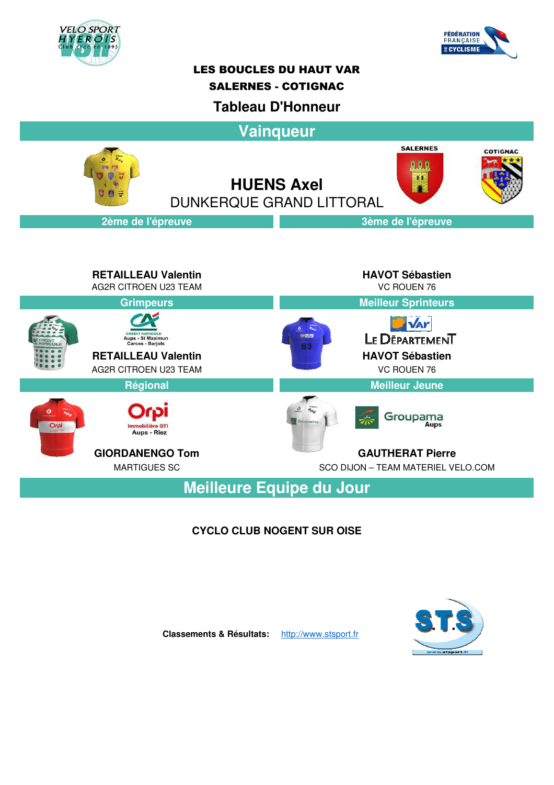



## LES BOUCLES DU HAUT VAR

### SALERNES - COTIGNAC

## **Tableau D'Honneur**

**Vainqueur SALERNES COTIGNAC OBB**  $\overline{\mathbf{H}}$ **HUENS Axel** DUNKERQUE GRAND LITTORAL**2ème de l'épreuve 3ème de l'épreuve RETAILLEAU Valentin HAVOT Sébastien** AG2R CITROEN U23 TEAM VC ROUEN 76 **Grimpeurs Meilleur Sprinteurs NAr CREDIT AGRICOLE**<br>Aups - St Maximun<br>Carces - Barjols LE DEPARTEMENT **RETAILLEAU Valentin HAVOT Sébastien** AG2R CITROEN U23 TEAM VC ROUEN 76 **Régional Meilleur Jeune**  $\theta$   $a_{H_u}$ Groupama Aups - Riez **GIORDANENGO Tom GAUTHERAT Pierre** MARTIGUES SC SCO DIJON – TEAM MATERIEL VELO.COM

**Meilleure Equipe du Jour**

## **CYCLO CLUB NOGENT SUR OISE**



**Classements & Résultats:** http://www.stsport.fr